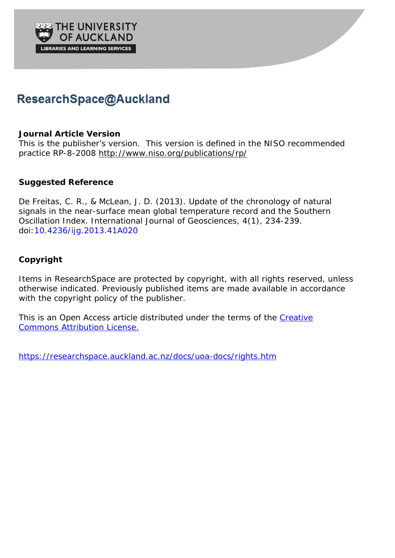# ResearchSpace@Auckland

## **Journal Article Version**

This is the publisher's version. This version is defined in the NISO recommended practice RP-8-2008 http://www.niso.org/publications/rp/

# **Suggested Reference**

De Freitas, C. R., & McLean, J. D. (2013). Update of the chronology of natural signals in the near-surface mean global temperature record and the Southern Oscillation Index. *International Journal of Geosciences*, *4*(1), 234-239. doi:10.4236/ijg.2013.41A020

# **Copyright**

Items in ResearchSpace are protected by copyright, with all rights reserved, unless otherwise indicated. Previously published items are made available in accordance with the copyright policy of the publisher.

This is an Open Access article distributed under the terms of the Creative Commons Attribution License.

https://researchspace.auckland.ac.nz/docs/uoa-docs/rights.htm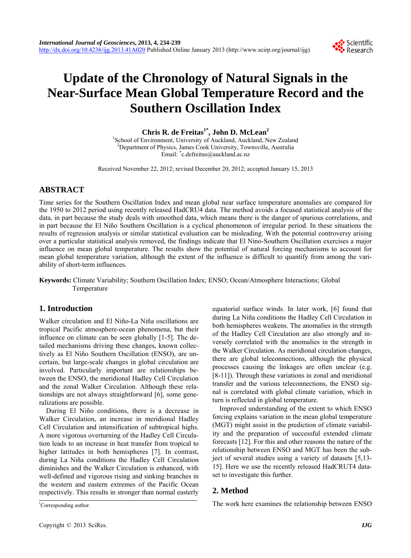

# **Update of the Chronology of Natural Signals in the Near-Surface Mean Global Temperature Record and the Southern Oscillation Index**

Chris R. de Freitas<sup>1\*</sup>, John D. McLean<sup>2</sup>

<sup>1</sup>School of Environment, University of Auckland, Auckland, New Zealand<br><sup>2</sup>Department of Physics, James Cook University, Tourpaulla, Australia <sup>2</sup>Department of Physics, James Cook University, Townsville, Australia Email: \* c.defreitas@auckland.ac.nz

Received November 22, 2012; revised December 20, 2012; accepted January 15, 2013

## **ABSTRACT**

Time series for the Southern Oscillation Index and mean global near surface temperature anomalies are compared for the 1950 to 2012 period using recently released HadCRU4 data. The method avoids a focused statistical analysis of the data, in part because the study deals with smoothed data, which means there is the danger of spurious correlations, and in part because the El Niño Southern Oscillation is a cyclical phenomenon of irregular period. In these situations the results of regression analysis or similar statistical evaluation can be misleading. With the potential controversy arising over a particular statistical analysis removed, the findings indicate that El Nino-Southern Oscillation exercises a major influence on mean global temperature. The results show the potential of natural forcing mechanisms to account for mean global temperature variation, although the extent of the influence is difficult to quantify from among the variability of short-term influences.

**Keywords:** Climate Variability; Southern Oscillation Index; ENSO; Ocean/Atmosphere Interactions; Global Temperature

### **1. Introduction**

Walker circulation and El Niño-La Niña oscillations are tropical Pacific atmosphere-ocean phenomena, but their influence on climate can be seen globally [1-5]. The detailed mechanisms driving these changes, known collectively as El Niño Southern Oscillation (ENSO), are uncertain, but large-scale changes in global circulation are involved. Particularly important are relationships between the ENSO, the meridional Hadley Cell Circulation and the zonal Walker Circulation. Although these relationships are not always straightforward [6], some generalizations are possible.

During El Niño conditions, there is a decrease in Walker Circulation, an increase in meridional Hadley Cell Circulation and intensification of subtropical highs. A more vigorous overturning of the Hadley Cell Circulation leads to an increase in heat transfer from tropical to higher latitudes in both hemispheres [7]. In contrast, during La Niña conditions the Hadley Cell Circulation diminishes and the Walker Circulation is enhanced, with well-defined and vigorous rising and sinking branches in the western and eastern extremes of the Pacific Ocean respectively. This results in stronger than normal easterly

Corresponding author.

equatorial surface winds. In later work, [6] found that during La Niña conditions the Hadley Cell Circulation in both hemispheres weakens. The anomalies in the strength of the Hadley Cell Circulation are also strongly and inversely correlated with the anomalies in the strength in the Walker Circulation. As meridional circulation changes, there are global teleconnections, although the physical processes causing the linkages are often unclear (e.g. [8-11]). Through these variations in zonal and meridional transfer and the various teleconnections, the ENSO signal is correlated with global climate variation, which in turn is reflected in global temperature.

Improved understanding of the extent to which ENSO forcing explains variation in the mean global temperature (MGT) might assist in the prediction of climate variability and the preparation of successful extended climate forecasts [12]. For this and other reasons the nature of the relationship between ENSO and MGT has been the subject of several studies using a variety of datasets [5,13- 15]. Here we use the recently released HadCRUT4 dataset to investigate this further.

### **2. Method**

The work here examines the relationship between ENSO \*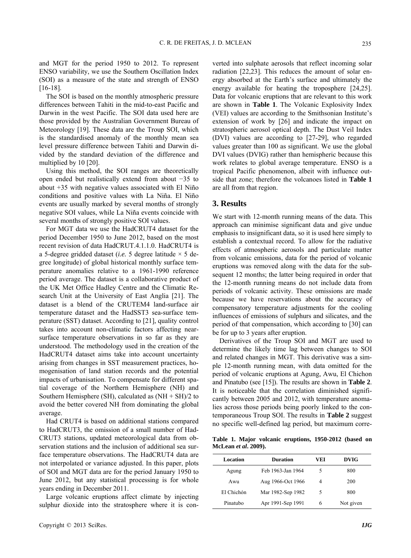and MGT for the period 1950 to 2012. To represent ENSO variability, we use the Southern Oscillation Index (SOI) as a measure of the state and strength of ENSO [16-18].

The SOI is based on the monthly atmospheric pressure differences between Tahiti in the mid-to-east Pacific and Darwin in the west Pacific. The SOI data used here are those provided by the Australian Government Bureau of Meteorology [19]. These data are the Troup SOI, which is the standardised anomaly of the monthly mean sea level pressure difference between Tahiti and Darwin divided by the standard deviation of the difference and multiplied by 10 [20].

Using this method, the SOI ranges are theoretically open ended but realistically extend from about −35 to about +35 with negative values associated with El Niño conditions and positive values with La Niña. El Niño events are usually marked by several months of strongly negative SOI values, while La Niña events coincide with several months of strongly positive SOI values.

For MGT data we use the HadCRUT4 dataset for the period December 1950 to June 2012, based on the most recent revision of data HadCRUT.4.1.1.0. HadCRUT4 is a 5-degree gridded dataset (*i.e.* 5 degree latitude  $\times$  5 degree longitude) of global historical monthly surface temperature anomalies relative to a 1961-1990 reference period average. The dataset is a collaborative product of the UK Met Office Hadley Centre and the Climatic Research Unit at the University of East Anglia [21]. The dataset is a blend of the CRUTEM4 land-surface air temperature dataset and the HadSST3 sea-surface temperature (SST) dataset. According to [21], quality control takes into account non-climatic factors affecting nearsurface temperature observations in so far as they are understood. The methodology used in the creation of the HadCRUT4 dataset aims take into account uncertainty arising from changes in SST measurement practices, homogenisation of land station records and the potential impacts of urbanisation. To compensate for different spatial coverage of the Northern Hemisphere (NH) and Southern Hemisphere (SH), calculated as  $(NH + SH)/2$  to avoid the better covered NH from dominating the global average.

Had CRUT4 is based on additional stations compared to HadCRUT3, the omission of a small number of Had-CRUT3 stations, updated meteorological data from observation stations and the inclusion of additional sea surface temperature observations. The HadCRUT4 data are not interpolated or variance adjusted. In this paper, plots of SOI and MGT data are for the period January 1950 to June 2012, but any statistical processing is for whole years ending in December 2011.

Large volcanic eruptions affect climate by injecting sulphur dioxide into the stratosphere where it is converted into sulphate aerosols that reflect incoming solar radiation [22,23]. This reduces the amount of solar energy absorbed at the Earth's surface and ultimately the energy available for heating the troposphere [24,25]. Data for volcanic eruptions that are relevant to this work are shown in **Table 1**. The Volcanic Explosivity Index (VEI) values are according to the Smithsonian Institute's extension of work by [26] and indicate the impact on stratospheric aerosol optical depth. The Dust Veil Index (DVI) values are according to [27-29], who regarded values greater than 100 as significant. We use the global DVI values (DVIG) rather than hemispheric because this work relates to global average temperature. ENSO is a tropical Pacific phenomenon, albeit with influence outside that zone; therefore the volcanoes listed in **Table 1** are all from that region.

#### **3. Results**

We start with 12-month running means of the data. This approach can minimise significant data and give undue emphasis to insignificant data, so it is used here simply to establish a contextual record. To allow for the radiative effects of atmospheric aerosols and particulate matter from volcanic emissions, data for the period of volcanic eruptions was removed along with the data for the subsequent 12 months; the latter being required in order that the 12-month running means do not include data from periods of volcanic activity. These omissions are made because we have reservations about the accuracy of compensatory temperature adjustments for the cooling influences of emissions of sulphurs and silicates, and the period of that compensation, which according to [30] can be for up to 3 years after eruption.

Derivatives of the Troup SOI and MGT are used to determine the likely time lag between changes to SOI and related changes in MGT. This derivative was a simple 12-month running mean, with data omitted for the period of volcanic eruptions at Agung, Awu, El Chichon and Pinatubo (see [15]). The results are shown in **Table 2**. It is noticeable that the correlation diminished significantly between 2005 and 2012, with temperature anomalies across those periods being poorly linked to the contemporaneous Troup SOI. The results in **Table 2** suggest no specific well-defined lag period, but maximum corre-

**Table 1. Major volcanic eruptions, 1950-2012 (based on McLean** *et al***. 2009).** 

| Location   | <b>Duration</b>   | VEI | <b>DVIG</b> |
|------------|-------------------|-----|-------------|
| Agung      | Feb 1963-Jan 1964 | 5   | 800         |
| Awu        | Aug 1966-Oct 1966 | 4   | 200         |
| El Chichón | Mar 1982-Sep 1982 | 5   | 800         |
| Pinatubo   | Apr 1991-Sep 1991 | 6   | Not given   |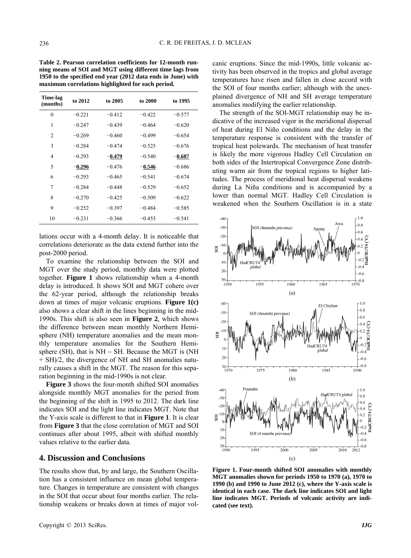**Table 2. Pearson correlation coefficients for 12-month running means of SOI and MGT using different time lags from 1950 to the specified end year (2012 data ends in June) with maximum correlations highlighted for each period.** 

| Time-lag<br>(months) | to 2012  | to 2005  | to 2000  | to 1995  |
|----------------------|----------|----------|----------|----------|
| $\theta$             | $-0.221$ | $-0.412$ | $-0.422$ | $-0.577$ |
| 1                    | $-0.247$ | $-0.439$ | $-0.464$ | $-0.620$ |
| $\overline{c}$       | $-0.269$ | $-0.460$ | $-0.499$ | $-0.654$ |
| 3                    | $-0.284$ | $-0.474$ | $-0.525$ | $-0.676$ |
| 4                    | $-0.293$ | $-0.479$ | $-0.540$ | $-0.687$ |
| 5                    | $-0.296$ | $-0.476$ | $-0.546$ | $-0.686$ |
| 6                    | $-0.293$ | $-0.465$ | $-0.541$ | $-0.674$ |
| 7                    | $-0.284$ | $-0.448$ | $-0.529$ | $-0.652$ |
| 8                    | $-0.270$ | $-0.425$ | $-0.509$ | $-0.622$ |
| 9                    | $-0.252$ | $-0.397$ | $-0.484$ | $-0.585$ |
| 10                   | $-0.231$ | $-0.366$ | $-0.453$ | $-0.541$ |
|                      |          |          |          |          |

lations occur with a 4-month delay. It is noticeable that correlations deteriorate as the data extend further into the post-2000 period.

To examine the relationship between the SOI and MGT over the study period, monthly data were plotted together. **Figure 1** shows relationship when a 4-month delay is introduced. It shows SOI and MGT cohere over the 62-year period, although the relationship breaks down at times of major volcanic eruptions. **Figure 1(c)** also shows a clear shift in the lines beginning in the mid-1990s. This shift is also seen in **Figure 2**, which shows the difference between mean monthly Northern Hemisphere (NH) temperature anomalies and the mean monthly temperature anomalies for the Southern Hemisphere (SH), that is  $NH - SH$ . Because the MGT is (NH) + SH)/2, the divergence of NH and SH anomalies naturally causes a shift in the MGT. The reason for this separation beginning in the mid-1990s is not clear.

**Figure 3** shows the four-month shifted SOI anomalies alongside monthly MGT anomalies for the period from the beginning of the shift in 1995 to 2012. The dark line indicates SOI and the light line indicates MGT. Note that the Y-axis scale is different to that in **Figure 1**. It is clear from **Figure 3** that the close correlation of MGT and SOI continues after about 1995, albeit with shifted monthly values relative to the earlier data.

#### **4. Discussion and Conclusions**

The results show that, by and large, the Southern Oscillation has a consistent influence on mean global temperature. Changes in temperature are consistent with changes in the SOI that occur about four months earlier. The relationship weakens or breaks down at times of major volcanic eruptions. Since the mid-1990s, little volcanic activity has been observed in the tropics and global average temperatures have risen and fallen in close accord with the SOI of four months earlier; although with the unexplained divergence of NH and SH average temperature anomalies modifying the earlier relationship.

The strength of the SOI-MGT relationship may be indicative of the increased vigor in the meridional dispersal of heat during El Niño conditions and the delay in the temperature response is consistent with the transfer of tropical heat polewards. The mechanism of heat transfer is likely the more vigorous Hadley Cell Circulation on both sides of the Intertropical Convergence Zone distributing warm air from the tropical regions to higher latitudes. The process of meridional heat dispersal weakens during La Niña conditions and is accompanied by a lower than normal MGT. Hadley Cell Circulation is weakened when the Southern Oscillation is in a state



**Figure 1. Four-month shifted SOI anomalies with monthly MGT anomalies shown for periods 1950 to 1970 (a), 1970 to 1990 (b) and 1990 to June 2012 (c), where the Y-axis scale is identical in each case. The dark line indicates SOI and light line indicates MGT. Periods of volcanic activity are indicated (see text).**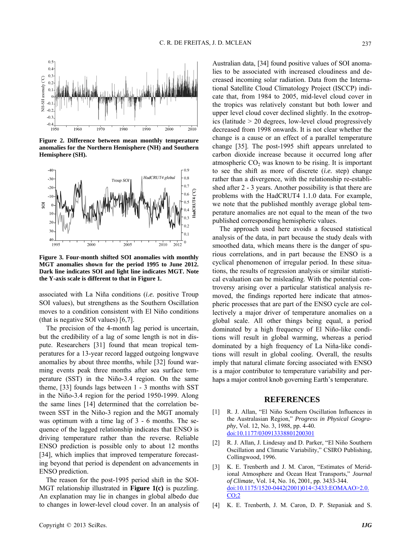

**Figure 2. Difference between mean monthly temperature anomalies for the Northern Hemisphere (NH) and Southern Hemisphere (SH).** 



**Figure 3. Four-month shifted SOI anomalies with monthly MGT anomalies shown for the period 1995 to June 2012. Dark line indicates SOI and light line indicates MGT. Note the Y-axis scale is different to that in Figure 1.** 

associated with La Niña conditions (*i.e.* positive Troup SOI values), but strengthens as the Southern Oscillation moves to a condition consistent with El Niño conditions (that is negative SOI values) [6,7].

The precision of the 4-month lag period is uncertain, but the credibility of a lag of some length is not in dispute. Researchers [31] found that mean tropical temperatures for a 13-year record lagged outgoing longwave anomalies by about three months, while [32] found warming events peak three months after sea surface temperature (SST) in the Niño-3.4 region. On the same theme, [33] founds lags between 1 - 3 months with SST in the Niño-3.4 region for the period 1950-1999. Along the same lines [14] determined that the correlation between SST in the Niño-3 region and the MGT anomaly was optimum with a time lag of 3 - 6 months. The sequence of the lagged relationship indicates that ENSO is driving temperature rather than the reverse. Reliable ENSO prediction is possible only to about 12 months [34], which implies that improved temperature forecasting beyond that period is dependent on advancements in ENSO prediction.

The reason for the post-1995 period shift in the SOI-MGT relationship illustrated in **Figure 1(c)** is puzzling. An explanation may lie in changes in global albedo due to changes in lower-level cloud cover. In an analysis of Australian data, [34] found positive values of SOI anomalies to be associated with increased cloudiness and decreased incoming solar radiation. Data from the International Satellite Cloud Climatology Project (ISCCP) indicate that, from 1984 to 2005, mid-level cloud cover in the tropics was relatively constant but both lower and upper level cloud cover declined slightly. In the exotropics (latitude > 20 degrees, low-level cloud progressively decreased from 1998 onwards. It is not clear whether the change is a cause or an effect of a parallel temperature change [35]. The post-1995 shift appears unrelated to carbon dioxide increase because it occurred long after atmospheric  $CO<sub>2</sub>$  was known to be rising. It is important to see the shift as more of discrete (*i.e.* step) change rather than a divergence, with the relationship re-established after 2 - 3 years. Another possibility is that there are problems with the HadCRUT4 1.1.0 data. For example, we note that the published monthly average global temperature anomalies are not equal to the mean of the two published corresponding hemispheric values.

The approach used here avoids a focused statistical analysis of the data, in part because the study deals with smoothed data, which means there is the danger of spurious correlations, and in part because the ENSO is a cyclical phenomenon of irregular period. In these situations, the results of regression analysis or similar statistical evaluation can be misleading. With the potential controversy arising over a particular statistical analysis removed, the findings reported here indicate that atmospheric processes that are part of the ENSO cycle are collectively a major driver of temperature anomalies on a global scale. All other things being equal, a period dominated by a high frequency of El Niño-like conditions will result in global warming, whereas a period dominated by a high frequency of La Niña-like conditions will result in global cooling. Overall, the results imply that natural climate forcing associated with ENSO is a major contributor to temperature variability and perhaps a major control knob governing Earth's temperature.

#### **REFERENCES**

- [1] R. J. Allan, "El Niño Southern Oscillation Influences in the Australasian Region," *Progress in Physical Geography*, Vol. 12, No. 3, 1988, pp. 4-40. [doi:10.1177/030913338801200301](http://dx.doi.org/10.1177/030913338801200301)
- [2] R. J. Allan, J. Lindesay and D. Parker, "El Niño Southern Oscillation and Climatic Variability," CSIRO Publishing, Collingwood, 1996.
- [3] K. E. Trenberth and J. M. Caron, "Estimates of Meridional Atmosphere and Ocean Heat Transports," *Journal of Climate*, Vol. 14, No. 16, 2001, pp. 3433-344. [doi:10.1175/1520-0442\(2001\)014<3433:EOMAAO>2.0.](http://dx.doi.org/10.1175/1520-0442(2001)014%3c3433:EOMAAO%3e2.0.CO;2)  $CO<sub>3</sub>2$
- K. E. Trenberth, J. M. Caron, D. P. Stepaniak and S.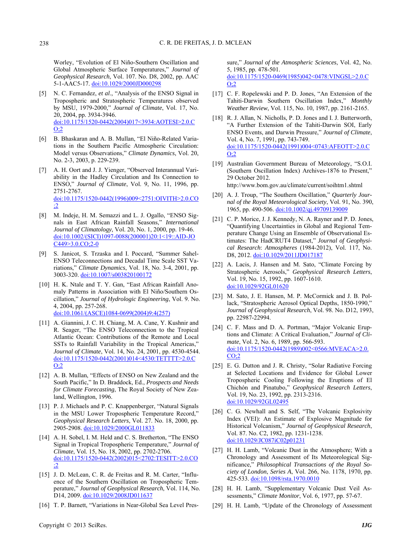Worley, "Evolution of El Niño-Southern Oscillation and Global Atmospheric Surface Temperatures," *Journal of Geophysical Research*, Vol. 107. No. D8, 2002, pp. AAC 5-1-AAC5-17. doi:10.1029/2000JD000298

- [5] N. C. Fernandez, *et al*., "Analysis of the ENSO Signal in Tropospheric and Stratospheric Temperatures observed by MSU, 1979-2000," *Journal of Climate*, Vol. 17, No. 20, 2004, pp. 3934-3946. [doi:10.1175/1520-0442\(2004\)017<3934:AOTESI>2.0.C](http://dx.doi.org/10.1175/1520-0442(2004)017%3c3934:AOTESI%3e2.0.CO;2)  $Q:2$
- [6] B. Bhaskaran and A. B. Mullan, "El Niño-Related Variations in the Southern Pacific Atmospheric Circulation: Model versus Observations," *Climate Dynamics*, Vol. 20, No. 2-3, 2003, p. 229-239.
- [7] A. H. Oort and J. J. Yienger, "Observed Interannual Variability in the Hadley Circulation and Its Connection to ENSO," *Journal of Climate*, Vol. 9, No. 11, 1996, pp. 2751-2767. [doi:10.1175/1520-0442\(1996\)009<2751:OIVITH>2.0.CO](http://dx.doi.org/10.1175/1520-0442(1996)009%3c2751:OIVITH%3e2.0.CO;2) [;2](http://dx.doi.org/10.1175/1520-0442(1996)009%3c2751:OIVITH%3e2.0.CO;2)
- [8] M. Indeje, H. M. Semazzi and L. J. Ogallo, "ENSO Signals in East African Rainfall Seasons," *International Journal of Climatology*, Vol. 20, No. 1, 2000, pp. 19-46. [doi:10.1002/\(SICI\)1097-0088\(200001\)20:1<19::AID-JO](http://dx.doi.org/10.1002/(SICI)1097-0088(200001)20:1%3c19::AID-JOC449%3e3.0.CO;2-0) [C449>3.0.CO;2-0](http://dx.doi.org/10.1002/(SICI)1097-0088(200001)20:1%3c19::AID-JOC449%3e3.0.CO;2-0)
- [9] S. Janicot, S. Trzaska and I. Poccard, "Summer Sahel-ENSO Teleconnections and Decadal Time Scale SST Variations," *Climate Dynamics*, Vol. 18, No. 3-4, 2001, pp. 3003-320. [doi:10.1007/s003820100172](http://dx.doi.org/10.1007/s003820100172)
- [10] H. K. Ntale and T. Y. Gan, "East African Rainfall Anomaly Patterns in Association with El Niño/Southern Oscillation," *Journal of Hydrologic Engineering*, Vol. 9. No. 4, 2004, pp. 257-268. [doi:10.1061/\(ASCE\)1084-0699\(2004\)9:4\(257\)](http://dx.doi.org/10.1061/(ASCE)1084-0699(2004)9:4(257))
- [11] A. Giannini, J. C. H. Chiang, M. A. Cane, Y. Kushnir and R. Seager, "The ENSO Teleconnection to the Tropical Atlantic Ocean: Contributions of the Remote and Local SSTs to Rainfall Variability in the Tropical Americas," *Journal of Climate*, Vol. 14, No. 24, 2001, pp. 4530-4544. [doi:10.1175/1520-0442\(2001\)014<4530:TETTTT>2.0.C](http://dx.doi.org/10.1175/1520-0442(2001)014%3c4530:TETTTT%3e2.0.CO;2) [O;2](http://dx.doi.org/10.1175/1520-0442(2001)014%3c4530:TETTTT%3e2.0.CO;2)
- [12] A. B. Mullan, "Effects of ENSO on New Zealand and the South Pacific," In D. Braddock, Ed., *Prospects and Needs for Climate Forecasting*, The Royal Society of New Zealand, Wellington, 1996.
- [13] P. J. Michaels and P. C. Knappenberger, "Natural Signals" in the MSU Lower Tropospheric Temperature Record," *Geophysical Research Letters*, Vol. 27. No. 18, 2000, pp. 2905-2908. [doi:10.1029/2000GL011833](http://dx.doi.org/10.1029/2000GL011833)
- [14] A. H. Sobel, I. M. Held and C. S. Bretherton, "The ENSO" Signal in Tropical Tropospheric Temperature," *Journal of Climate*, Vol. 15, No. 18, 2002, pp. 2702-2706. [doi:10.1175/1520-0442\(2002\)015<2702:TESITT>2.0.CO](http://dx.doi.org/10.1175/1520-0442(2002)015%3c2702:TESITT%3e2.0.CO;2) [;2](http://dx.doi.org/10.1175/1520-0442(2002)015%3c2702:TESITT%3e2.0.CO;2)
- [15] J. D. McLean, C. R. de Freitas and R. M. Carter, "Influence of the Southern Oscillation on Tropospheric Temperature," *Journal of Geophysical Research*, Vol. 114, No. D14, 2009. [doi:10.1029/2008JD011637](http://dx.doi.org/10.1029/2008JD011637)
- [16] T. P. Barnett, "Variations in Near-Global Sea Level Pres-

sure," *Journal of the Atmospheric Sciences*, Vol. 42, No. 5, 1985, pp. 478-501. [doi:10.1175/1520-0469\(1985\)042<0478:VINGSL>2.0.C](http://dx.doi.org/10.1175/1520-0469(1985)042%3c0478:VINGSL%3e2.0.CO;2)

[O;2](http://dx.doi.org/10.1175/1520-0469(1985)042%3c0478:VINGSL%3e2.0.CO;2)

- [17] C. F. Ropelewski and P. D. Jones, "An Extension of the Tahiti-Darwin Southern Oscillation Index," *Monthly Weather Review*, Vol. 115, No. 10, 1987, pp. 2161-2165.
- [18] R. J. Allan, N. Nicholls, P. D. Jones and I. J. Butterworth, "A Further Extension of the Tahiti-Darwin SOI, Early ENSO Events, and Darwin Pressure," *Journal of Climate*, Vol. 4, No. 7, 1991, pp. 743-749. [doi:10.1175/1520-0442\(1991\)004<0743:AFEOTT>2.0.C](http://dx.doi.org/10.1175/1520-0442(1991)004%3c0743:AFEOTT%3e2.0.CO;2) [O;2](http://dx.doi.org/10.1175/1520-0442(1991)004%3c0743:AFEOTT%3e2.0.CO;2)
- [19] Australian Government Bureau of Meteorology, "S.O.I. (Southern Oscillation Index) Archives-1876 to Present," 29 October 2012. http://www.bom.gov.au/climate/current/soihtm1.shtml
- [20] A. J. Troup, "The Southern Oscillation," *Quarterly Journal of the Royal Meteorological Society*, Vol. 91, No. 390, 1965, pp. 490-506. [doi:10.1002/qj.49709139009](http://dx.doi.org/10.1002/qj.49709139009)
- [21] C. P. Morice, J. J. Kennedy, N. A. Rayner and P. D. Jones, "Quantifying Uncertainties in Global and Regional Temperature Change Using an Ensemble of Observational Estimates: The HadCRUT4 Dataset," *Journal of Geophysical Research*: *Atmospheres* (1984-2012), Vol. 117, No. D8, 2012. [doi:10.1029/2011JD017187](http://dx.doi.org/10.1029/2011JD017187)
- [22] A. Lacis, J. Hansen and M. Sato, "Climate Forcing by Stratospheric Aerosols," *Geophysical Research Letters*, Vol. 19, No. 15, 1992, pp. 1607-1610. [doi:10.1029/92GL01620](http://dx.doi.org/10.1029/92GL01620)
- [23] M. Sato, J. E. Hansen, M. P. McCormick and J. B. Pollack, "Stratospheric Aerosol Optical Depths, 1850-1990," *Journal of Geophysical Research*, Vol. 98. No. D12, 1993, pp. 22987-22994.
- [24] C. F. Mass and D. A. Portman, "Major Volcanic Eruptions and Climate: A Critical Evaluation," *Journal of Climate*, Vol. 2, No. 6, 1989, pp. 566-593. [doi:10.1175/1520-0442\(1989\)002<0566:MVEACA>2.0.](http://dx.doi.org/10.1175/1520-0442(1989)002%3c0566:MVEACA%3e2.0.CO;2)  $CO:2$
- [25] E. G. Dutton and J. R. Christy, "Solar Radiative Forcing at Selected Locations and Evidence for Global Lower Tropospheric Cooling Following the Eruptions of El Chichón and Pinatubo," *Geophysical Research Letters*, Vol. 19, No. 23, 1992, pp. 2313-2316. [doi:10.1029/92GL02495](http://dx.doi.org/10.1029/92GL02495)
- [26] C. G. Newhall and S. Self, "The Volcanic Explosivity Index (VEI): An Estimate of Explosive Magnitude for Historical Volcanism," *Journal of Geophysical Research*, Vol. 87. No. C2, 1982, pp. 1231-1238. [doi:10.1029/JC087iC02p01231](http://dx.doi.org/10.1029/JC087iC02p01231)
- [27] H. H. Lamb, "Volcanic Dust in the Atmosphere; With a Chronology and Assessment of Its Meteorological Significance," *Philosophical Transactions of the Royal Society of London*, *Series A*, Vol. 266, No. 1178, 1970, pp. 425-533. [doi:10.1098/rsta.1970.0010](http://dx.doi.org/10.1098/rsta.1970.0010)
- [28] H. H. Lamb, "Supplementary Volcanic Dust Veil Assessments," *Climate Monitor*, Vol. 6, 1977, pp. 57-67.
- [29] H. H. Lamb, "Update of the Chronology of Assessment